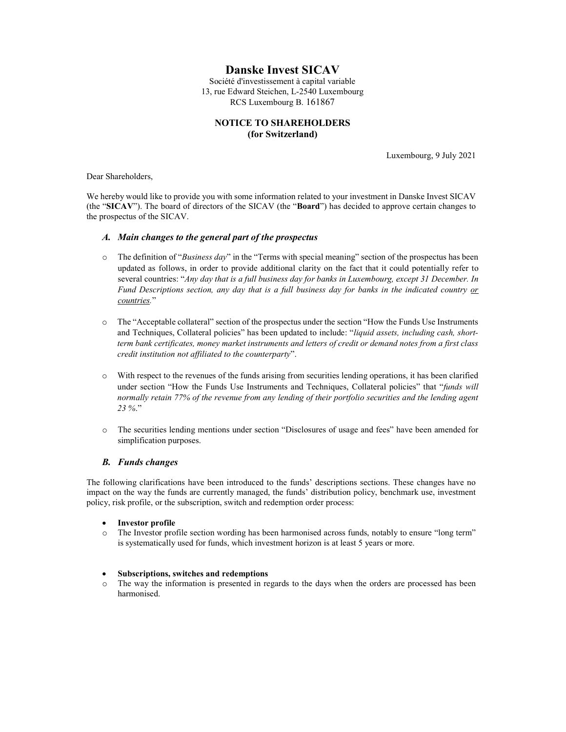# Danske Invest SICAV

Société d'investissement à capital variable 13, rue Edward Steichen, L-2540 Luxembourg RCS Luxembourg B. 161867

# NOTICE TO SHAREHOLDERS (for Switzerland)

Luxembourg, 9 July 2021

Dear Shareholders,

We hereby would like to provide you with some information related to your investment in Danske Invest SICAV (the "SICAV"). The board of directors of the SICAV (the "Board") has decided to approve certain changes to the prospectus of the SICAV.

### A. Main changes to the general part of the prospectus

- $\circ$  The definition of "Business day" in the "Terms with special meaning" section of the prospectus has been updated as follows, in order to provide additional clarity on the fact that it could potentially refer to several countries: "Any day that is a full business day for banks in Luxembourg, except 31 December. In Fund Descriptions section, any day that is a full business day for banks in the indicated country or countries."
- o The "Acceptable collateral" section of the prospectus under the section "How the Funds Use Instruments and Techniques, Collateral policies" has been updated to include: "liquid assets, including cash, shortterm bank certificates, money market instruments and letters of credit or demand notes from a first class credit institution not affiliated to the counterparty".
- o With respect to the revenues of the funds arising from securities lending operations, it has been clarified under section "How the Funds Use Instruments and Techniques, Collateral policies" that "funds will normally retain 77% of the revenue from any lending of their portfolio securities and the lending agent 23 %."
- o The securities lending mentions under section "Disclosures of usage and fees" have been amended for simplification purposes.

### B. Funds changes

The following clarifications have been introduced to the funds' descriptions sections. These changes have no impact on the way the funds are currently managed, the funds' distribution policy, benchmark use, investment policy, risk profile, or the subscription, switch and redemption order process:

- Investor profile
- o The Investor profile section wording has been harmonised across funds, notably to ensure "long term" is systematically used for funds, which investment horizon is at least 5 years or more.

### Subscriptions, switches and redemptions

o The way the information is presented in regards to the days when the orders are processed has been harmonised.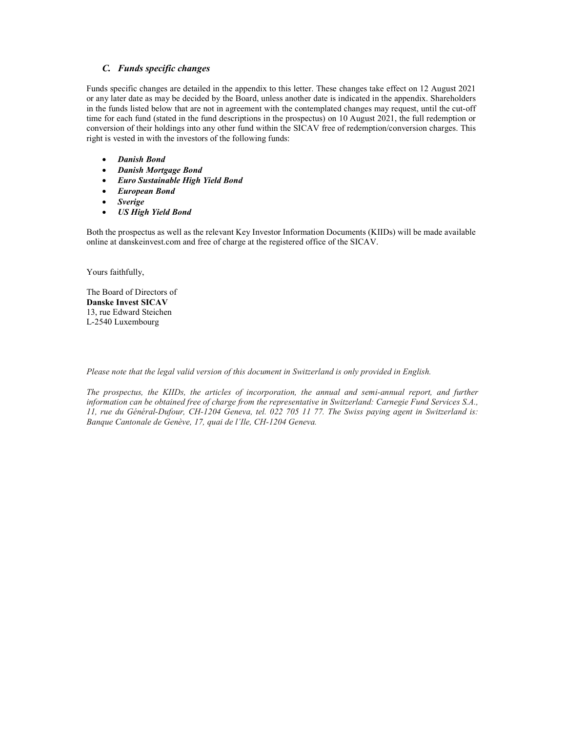# C. Funds specific changes

Funds specific changes are detailed in the appendix to this letter. These changes take effect on 12 August 2021 or any later date as may be decided by the Board, unless another date is indicated in the appendix. Shareholders in the funds listed below that are not in agreement with the contemplated changes may request, until the cut-off time for each fund (stated in the fund descriptions in the prospectus) on 10 August 2021, the full redemption or conversion of their holdings into any other fund within the SICAV free of redemption/conversion charges. This right is vested in with the investors of the following funds:

- Danish Bond
- Danish Mortgage Bond
- Euro Sustainable High Yield Bond
- European Bond
- Sverige
- US High Yield Bond

Both the prospectus as well as the relevant Key Investor Information Documents (KIIDs) will be made available online at danskeinvest.com and free of charge at the registered office of the SICAV.

Yours faithfully,

The Board of Directors of Danske Invest SICAV 13, rue Edward Steichen L-2540 Luxembourg

Please note that the legal valid version of this document in Switzerland is only provided in English.

The prospectus, the KIIDs, the articles of incorporation, the annual and semi-annual report, and further information can be obtained free of charge from the representative in Switzerland: Carnegie Fund Services S.A., 11, rue du Général-Dufour, CH-1204 Geneva, tel. 022 705 11 77. The Swiss paying agent in Switzerland is: Banque Cantonale de Genève, 17, quai de l'Ile, CH-1204 Geneva.